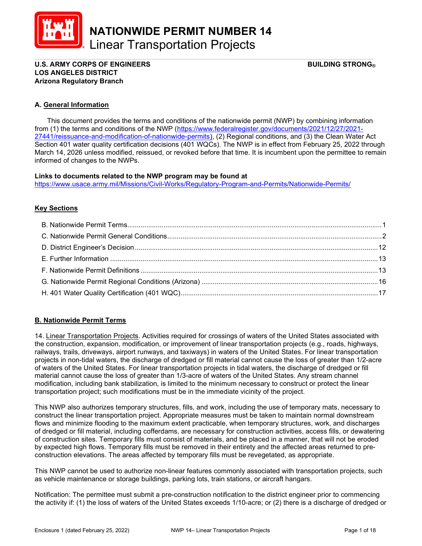

\_\_\_\_\_\_\_\_\_\_\_\_\_\_\_\_\_\_\_\_\_\_\_\_\_\_\_\_\_\_\_\_\_\_\_\_\_\_\_\_\_\_\_\_\_\_\_\_\_\_\_\_\_\_\_\_\_\_\_\_\_\_\_\_\_\_\_\_\_\_\_\_\_\_\_\_\_\_\_\_\_\_\_\_\_\_\_\_\_ U.S. ARMY CORPS OF ENGINEERS BUILDING STRONG® LOS ANGELES DISTRICT Arizona Regulatory Branch

## A. General Information

 This document provides the terms and conditions of the nationwide permit (NWP) by combining information from (1) the terms and conditions of the NWP (https://www.federalregister.gov/documents/2021/12/27/2021- 27441/reissuance-and-modification-of-nationwide-permits), (2) Regional conditions, and (3) the Clean Water Act Section 401 water quality certification decisions (401 WQCs). The NWP is in effect from February 25, 2022 through March 14, 2026 unless modified, reissued, or revoked before that time. It is incumbent upon the permittee to remain informed of changes to the NWPs.

## Links to documents related to the NWP program may be found at

https://www.usace.army.mil/Missions/Civil-Works/Regulatory-Program-and-Permits/Nationwide-Permits/

## **Key Sections**

# B. Nationwide Permit Terms

14. Linear Transportation Projects. Activities required for crossings of waters of the United States associated with the construction, expansion, modification, or improvement of linear transportation projects (e.g., roads, highways, railways, trails, driveways, airport runways, and taxiways) in waters of the United States. For linear transportation projects in non-tidal waters, the discharge of dredged or fill material cannot cause the loss of greater than 1/2-acre of waters of the United States. For linear transportation projects in tidal waters, the discharge of dredged or fill material cannot cause the loss of greater than 1/3-acre of waters of the United States. Any stream channel modification, including bank stabilization, is limited to the minimum necessary to construct or protect the linear transportation project; such modifications must be in the immediate vicinity of the project.

This NWP also authorizes temporary structures, fills, and work, including the use of temporary mats, necessary to construct the linear transportation project. Appropriate measures must be taken to maintain normal downstream flows and minimize flooding to the maximum extent practicable, when temporary structures, work, and discharges of dredged or fill material, including cofferdams, are necessary for construction activities, access fills, or dewatering of construction sites. Temporary fills must consist of materials, and be placed in a manner, that will not be eroded by expected high flows. Temporary fills must be removed in their entirety and the affected areas returned to preconstruction elevations. The areas affected by temporary fills must be revegetated, as appropriate.

This NWP cannot be used to authorize non-linear features commonly associated with transportation projects, such as vehicle maintenance or storage buildings, parking lots, train stations, or aircraft hangars.

Notification: The permittee must submit a pre-construction notification to the district engineer prior to commencing the activity if: (1) the loss of waters of the United States exceeds 1/10-acre; or (2) there is a discharge of dredged or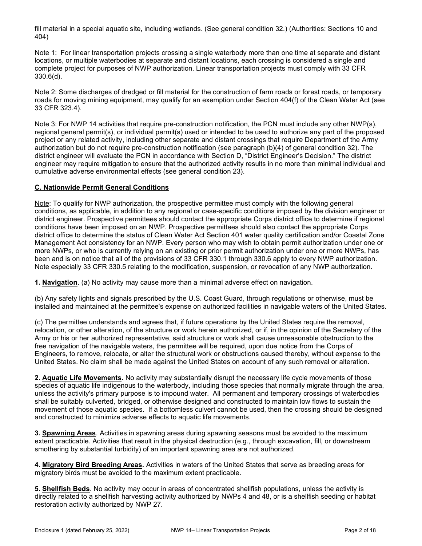fill material in a special aquatic site, including wetlands. (See general condition 32.) (Authorities: Sections 10 and 404)

Note 1: For linear transportation projects crossing a single waterbody more than one time at separate and distant locations, or multiple waterbodies at separate and distant locations, each crossing is considered a single and complete project for purposes of NWP authorization. Linear transportation projects must comply with 33 CFR 330.6(d).

Note 2: Some discharges of dredged or fill material for the construction of farm roads or forest roads, or temporary roads for moving mining equipment, may qualify for an exemption under Section 404(f) of the Clean Water Act (see 33 CFR 323.4).

Note 3: For NWP 14 activities that require pre-construction notification, the PCN must include any other NWP(s), regional general permit(s), or individual permit(s) used or intended to be used to authorize any part of the proposed project or any related activity, including other separate and distant crossings that require Department of the Army authorization but do not require pre-construction notification (see paragraph (b)(4) of general condition 32). The district engineer will evaluate the PCN in accordance with Section D, "District Engineer's Decision." The district engineer may require mitigation to ensure that the authorized activity results in no more than minimal individual and cumulative adverse environmental effects (see general condition 23).

# C. Nationwide Permit General Conditions

Note: To qualify for NWP authorization, the prospective permittee must comply with the following general conditions, as applicable, in addition to any regional or case-specific conditions imposed by the division engineer or district engineer. Prospective permittees should contact the appropriate Corps district office to determine if regional conditions have been imposed on an NWP. Prospective permittees should also contact the appropriate Corps district office to determine the status of Clean Water Act Section 401 water quality certification and/or Coastal Zone Management Act consistency for an NWP. Every person who may wish to obtain permit authorization under one or more NWPs, or who is currently relying on an existing or prior permit authorization under one or more NWPs, has been and is on notice that all of the provisions of 33 CFR 330.1 through 330.6 apply to every NWP authorization. Note especially 33 CFR 330.5 relating to the modification, suspension, or revocation of any NWP authorization.

1. Navigation. (a) No activity may cause more than a minimal adverse effect on navigation.

(b) Any safety lights and signals prescribed by the U.S. Coast Guard, through regulations or otherwise, must be installed and maintained at the permittee's expense on authorized facilities in navigable waters of the United States.

(c) The permittee understands and agrees that, if future operations by the United States require the removal, relocation, or other alteration, of the structure or work herein authorized, or if, in the opinion of the Secretary of the Army or his or her authorized representative, said structure or work shall cause unreasonable obstruction to the free navigation of the navigable waters, the permittee will be required, upon due notice from the Corps of Engineers, to remove, relocate, or alter the structural work or obstructions caused thereby, without expense to the United States. No claim shall be made against the United States on account of any such removal or alteration.

2. Aquatic Life Movements. No activity may substantially disrupt the necessary life cycle movements of those species of aquatic life indigenous to the waterbody, including those species that normally migrate through the area, unless the activity's primary purpose is to impound water. All permanent and temporary crossings of waterbodies shall be suitably culverted, bridged, or otherwise designed and constructed to maintain low flows to sustain the movement of those aquatic species. If a bottomless culvert cannot be used, then the crossing should be designed and constructed to minimize adverse effects to aquatic life movements.

3. Spawning Areas. Activities in spawning areas during spawning seasons must be avoided to the maximum extent practicable. Activities that result in the physical destruction (e.g., through excavation, fill, or downstream smothering by substantial turbidity) of an important spawning area are not authorized.

4. Migratory Bird Breeding Areas. Activities in waters of the United States that serve as breeding areas for migratory birds must be avoided to the maximum extent practicable.

5. Shellfish Beds. No activity may occur in areas of concentrated shellfish populations, unless the activity is directly related to a shellfish harvesting activity authorized by NWPs 4 and 48, or is a shellfish seeding or habitat restoration activity authorized by NWP 27.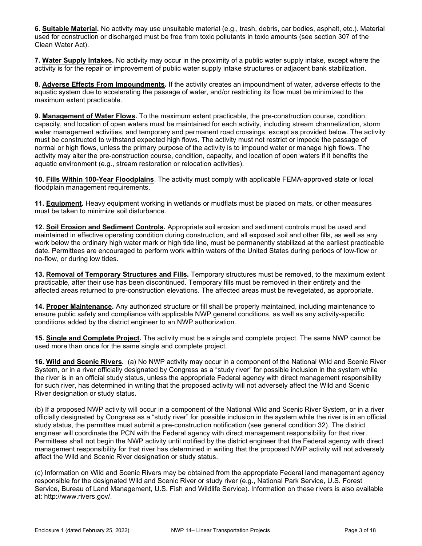6. Suitable Material. No activity may use unsuitable material (e.g., trash, debris, car bodies, asphalt, etc.). Material used for construction or discharged must be free from toxic pollutants in toxic amounts (see section 307 of the Clean Water Act).

7. Water Supply Intakes. No activity may occur in the proximity of a public water supply intake, except where the activity is for the repair or improvement of public water supply intake structures or adjacent bank stabilization.

8. Adverse Effects From Impoundments. If the activity creates an impoundment of water, adverse effects to the aquatic system due to accelerating the passage of water, and/or restricting its flow must be minimized to the maximum extent practicable.

9. Management of Water Flows. To the maximum extent practicable, the pre-construction course, condition, capacity, and location of open waters must be maintained for each activity, including stream channelization, storm water management activities, and temporary and permanent road crossings, except as provided below. The activity must be constructed to withstand expected high flows. The activity must not restrict or impede the passage of normal or high flows, unless the primary purpose of the activity is to impound water or manage high flows. The activity may alter the pre-construction course, condition, capacity, and location of open waters if it benefits the aquatic environment (e.g., stream restoration or relocation activities).

10. Fills Within 100-Year Floodplains. The activity must comply with applicable FEMA-approved state or local floodplain management requirements.

11. Equipment. Heavy equipment working in wetlands or mudflats must be placed on mats, or other measures must be taken to minimize soil disturbance.

12. Soil Erosion and Sediment Controls. Appropriate soil erosion and sediment controls must be used and maintained in effective operating condition during construction, and all exposed soil and other fills, as well as any work below the ordinary high water mark or high tide line, must be permanently stabilized at the earliest practicable date. Permittees are encouraged to perform work within waters of the United States during periods of low-flow or no-flow, or during low tides.

13. Removal of Temporary Structures and Fills. Temporary structures must be removed, to the maximum extent practicable, after their use has been discontinued. Temporary fills must be removed in their entirety and the affected areas returned to pre-construction elevations. The affected areas must be revegetated, as appropriate.

14. Proper Maintenance. Any authorized structure or fill shall be properly maintained, including maintenance to ensure public safety and compliance with applicable NWP general conditions, as well as any activity-specific conditions added by the district engineer to an NWP authorization.

15. Single and Complete Project. The activity must be a single and complete project. The same NWP cannot be used more than once for the same single and complete project.

16. Wild and Scenic Rivers. (a) No NWP activity may occur in a component of the National Wild and Scenic River System, or in a river officially designated by Congress as a "study river" for possible inclusion in the system while the river is in an official study status, unless the appropriate Federal agency with direct management responsibility for such river, has determined in writing that the proposed activity will not adversely affect the Wild and Scenic River designation or study status.

(b) If a proposed NWP activity will occur in a component of the National Wild and Scenic River System, or in a river officially designated by Congress as a "study river" for possible inclusion in the system while the river is in an official study status, the permittee must submit a pre-construction notification (see general condition 32). The district engineer will coordinate the PCN with the Federal agency with direct management responsibility for that river. Permittees shall not begin the NWP activity until notified by the district engineer that the Federal agency with direct management responsibility for that river has determined in writing that the proposed NWP activity will not adversely affect the Wild and Scenic River designation or study status.

(c) Information on Wild and Scenic Rivers may be obtained from the appropriate Federal land management agency responsible for the designated Wild and Scenic River or study river (e.g., National Park Service, U.S. Forest Service, Bureau of Land Management, U.S. Fish and Wildlife Service). Information on these rivers is also available at: http://www.rivers.gov/.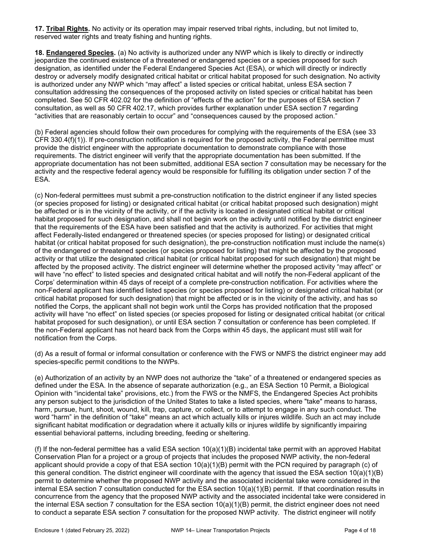17. Tribal Rights. No activity or its operation may impair reserved tribal rights, including, but not limited to, reserved water rights and treaty fishing and hunting rights.

18. Endangered Species. (a) No activity is authorized under any NWP which is likely to directly or indirectly jeopardize the continued existence of a threatened or endangered species or a species proposed for such designation, as identified under the Federal Endangered Species Act (ESA), or which will directly or indirectly destroy or adversely modify designated critical habitat or critical habitat proposed for such designation. No activity is authorized under any NWP which "may affect" a listed species or critical habitat, unless ESA section 7 consultation addressing the consequences of the proposed activity on listed species or critical habitat has been completed. See 50 CFR 402.02 for the definition of "effects of the action" for the purposes of ESA section 7 consultation, as well as 50 CFR 402.17, which provides further explanation under ESA section 7 regarding "activities that are reasonably certain to occur" and "consequences caused by the proposed action."

(b) Federal agencies should follow their own procedures for complying with the requirements of the ESA (see 33 CFR 330.4(f)(1)). If pre-construction notification is required for the proposed activity, the Federal permittee must provide the district engineer with the appropriate documentation to demonstrate compliance with those requirements. The district engineer will verify that the appropriate documentation has been submitted. If the appropriate documentation has not been submitted, additional ESA section 7 consultation may be necessary for the activity and the respective federal agency would be responsible for fulfilling its obligation under section 7 of the ESA.

(c) Non-federal permittees must submit a pre-construction notification to the district engineer if any listed species (or species proposed for listing) or designated critical habitat (or critical habitat proposed such designation) might be affected or is in the vicinity of the activity, or if the activity is located in designated critical habitat or critical habitat proposed for such designation, and shall not begin work on the activity until notified by the district engineer that the requirements of the ESA have been satisfied and that the activity is authorized. For activities that might affect Federally-listed endangered or threatened species (or species proposed for listing) or designated critical habitat (or critical habitat proposed for such designation), the pre-construction notification must include the name(s) of the endangered or threatened species (or species proposed for listing) that might be affected by the proposed activity or that utilize the designated critical habitat (or critical habitat proposed for such designation) that might be affected by the proposed activity. The district engineer will determine whether the proposed activity "may affect" or will have "no effect" to listed species and designated critical habitat and will notify the non-Federal applicant of the Corps' determination within 45 days of receipt of a complete pre-construction notification. For activities where the non-Federal applicant has identified listed species (or species proposed for listing) or designated critical habitat (or critical habitat proposed for such designation) that might be affected or is in the vicinity of the activity, and has so notified the Corps, the applicant shall not begin work until the Corps has provided notification that the proposed activity will have "no effect" on listed species (or species proposed for listing or designated critical habitat (or critical habitat proposed for such designation), or until ESA section 7 consultation or conference has been completed. If the non-Federal applicant has not heard back from the Corps within 45 days, the applicant must still wait for notification from the Corps.

(d) As a result of formal or informal consultation or conference with the FWS or NMFS the district engineer may add species-specific permit conditions to the NWPs.

(e) Authorization of an activity by an NWP does not authorize the "take" of a threatened or endangered species as defined under the ESA. In the absence of separate authorization (e.g., an ESA Section 10 Permit, a Biological Opinion with "incidental take" provisions, etc.) from the FWS or the NMFS, the Endangered Species Act prohibits any person subject to the jurisdiction of the United States to take a listed species, where "take" means to harass, harm, pursue, hunt, shoot, wound, kill, trap, capture, or collect, or to attempt to engage in any such conduct. The word "harm" in the definition of "take'' means an act which actually kills or injures wildlife. Such an act may include significant habitat modification or degradation where it actually kills or injures wildlife by significantly impairing essential behavioral patterns, including breeding, feeding or sheltering.

(f) If the non-federal permittee has a valid ESA section  $10(a)(1)(B)$  incidental take permit with an approved Habitat Conservation Plan for a project or a group of projects that includes the proposed NWP activity, the non-federal applicant should provide a copy of that ESA section 10(a)(1)(B) permit with the PCN required by paragraph (c) of this general condition. The district engineer will coordinate with the agency that issued the ESA section 10(a)(1)(B) permit to determine whether the proposed NWP activity and the associated incidental take were considered in the internal ESA section 7 consultation conducted for the ESA section 10(a)(1)(B) permit. If that coordination results in concurrence from the agency that the proposed NWP activity and the associated incidental take were considered in the internal ESA section 7 consultation for the ESA section 10(a)(1)(B) permit, the district engineer does not need to conduct a separate ESA section 7 consultation for the proposed NWP activity. The district engineer will notify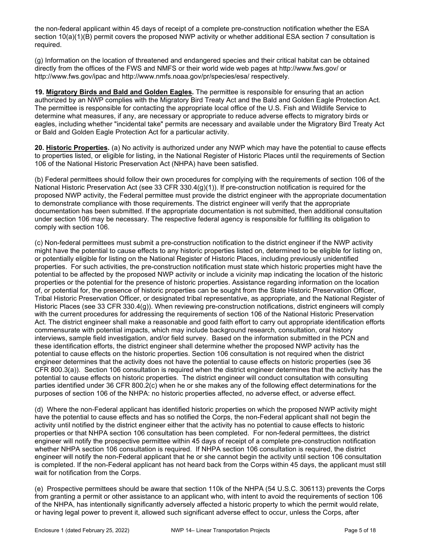the non-federal applicant within 45 days of receipt of a complete pre-construction notification whether the ESA section 10(a)(1)(B) permit covers the proposed NWP activity or whether additional ESA section 7 consultation is required.

(g) Information on the location of threatened and endangered species and their critical habitat can be obtained directly from the offices of the FWS and NMFS or their world wide web pages at http://www.fws.gov/ or http://www.fws.gov/ipac and http://www.nmfs.noaa.gov/pr/species/esa/ respectively.

19. Migratory Birds and Bald and Golden Eagles. The permittee is responsible for ensuring that an action authorized by an NWP complies with the Migratory Bird Treaty Act and the Bald and Golden Eagle Protection Act. The permittee is responsible for contacting the appropriate local office of the U.S. Fish and Wildlife Service to determine what measures, if any, are necessary or appropriate to reduce adverse effects to migratory birds or eagles, including whether "incidental take" permits are necessary and available under the Migratory Bird Treaty Act or Bald and Golden Eagle Protection Act for a particular activity.

20. Historic Properties. (a) No activity is authorized under any NWP which may have the potential to cause effects to properties listed, or eligible for listing, in the National Register of Historic Places until the requirements of Section 106 of the National Historic Preservation Act (NHPA) have been satisfied.

(b) Federal permittees should follow their own procedures for complying with the requirements of section 106 of the National Historic Preservation Act (see 33 CFR 330.4(g)(1)). If pre-construction notification is required for the proposed NWP activity, the Federal permittee must provide the district engineer with the appropriate documentation to demonstrate compliance with those requirements. The district engineer will verify that the appropriate documentation has been submitted. If the appropriate documentation is not submitted, then additional consultation under section 106 may be necessary. The respective federal agency is responsible for fulfilling its obligation to comply with section 106.

(c) Non-federal permittees must submit a pre-construction notification to the district engineer if the NWP activity might have the potential to cause effects to any historic properties listed on, determined to be eligible for listing on, or potentially eligible for listing on the National Register of Historic Places, including previously unidentified properties. For such activities, the pre-construction notification must state which historic properties might have the potential to be affected by the proposed NWP activity or include a vicinity map indicating the location of the historic properties or the potential for the presence of historic properties. Assistance regarding information on the location of, or potential for, the presence of historic properties can be sought from the State Historic Preservation Officer, Tribal Historic Preservation Officer, or designated tribal representative, as appropriate, and the National Register of Historic Places (see 33 CFR 330.4(g)). When reviewing pre-construction notifications, district engineers will comply with the current procedures for addressing the requirements of section 106 of the National Historic Preservation Act. The district engineer shall make a reasonable and good faith effort to carry out appropriate identification efforts commensurate with potential impacts, which may include background research, consultation, oral history interviews, sample field investigation, and/or field survey. Based on the information submitted in the PCN and these identification efforts, the district engineer shall determine whether the proposed NWP activity has the potential to cause effects on the historic properties. Section 106 consultation is not required when the district engineer determines that the activity does not have the potential to cause effects on historic properties (see 36 CFR 800.3(a)). Section 106 consultation is required when the district engineer determines that the activity has the potential to cause effects on historic properties. The district engineer will conduct consultation with consulting parties identified under 36 CFR 800.2(c) when he or she makes any of the following effect determinations for the purposes of section 106 of the NHPA: no historic properties affected, no adverse effect, or adverse effect.

(d) Where the non-Federal applicant has identified historic properties on which the proposed NWP activity might have the potential to cause effects and has so notified the Corps, the non-Federal applicant shall not begin the activity until notified by the district engineer either that the activity has no potential to cause effects to historic properties or that NHPA section 106 consultation has been completed. For non-federal permittees, the district engineer will notify the prospective permittee within 45 days of receipt of a complete pre-construction notification whether NHPA section 106 consultation is required. If NHPA section 106 consultation is required, the district engineer will notify the non-Federal applicant that he or she cannot begin the activity until section 106 consultation is completed. If the non-Federal applicant has not heard back from the Corps within 45 days, the applicant must still wait for notification from the Corps.

(e) Prospective permittees should be aware that section 110k of the NHPA (54 U.S.C. 306113) prevents the Corps from granting a permit or other assistance to an applicant who, with intent to avoid the requirements of section 106 of the NHPA, has intentionally significantly adversely affected a historic property to which the permit would relate, or having legal power to prevent it, allowed such significant adverse effect to occur, unless the Corps, after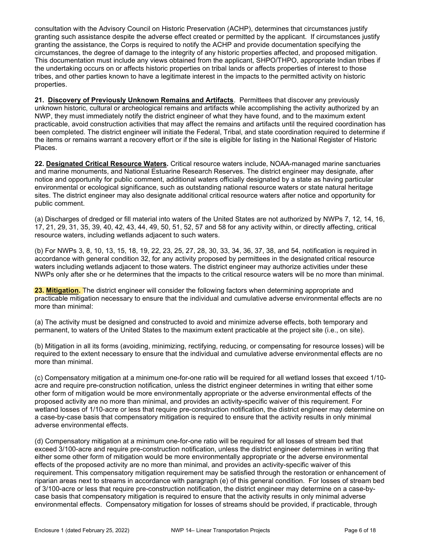consultation with the Advisory Council on Historic Preservation (ACHP), determines that circumstances justify granting such assistance despite the adverse effect created or permitted by the applicant. If circumstances justify granting the assistance, the Corps is required to notify the ACHP and provide documentation specifying the circumstances, the degree of damage to the integrity of any historic properties affected, and proposed mitigation. This documentation must include any views obtained from the applicant, SHPO/THPO, appropriate Indian tribes if the undertaking occurs on or affects historic properties on tribal lands or affects properties of interest to those tribes, and other parties known to have a legitimate interest in the impacts to the permitted activity on historic properties.

21. Discovery of Previously Unknown Remains and Artifacts. Permittees that discover any previously unknown historic, cultural or archeological remains and artifacts while accomplishing the activity authorized by an NWP, they must immediately notify the district engineer of what they have found, and to the maximum extent practicable, avoid construction activities that may affect the remains and artifacts until the required coordination has been completed. The district engineer will initiate the Federal, Tribal, and state coordination required to determine if the items or remains warrant a recovery effort or if the site is eligible for listing in the National Register of Historic Places.

22. Designated Critical Resource Waters. Critical resource waters include, NOAA-managed marine sanctuaries and marine monuments, and National Estuarine Research Reserves. The district engineer may designate, after notice and opportunity for public comment, additional waters officially designated by a state as having particular environmental or ecological significance, such as outstanding national resource waters or state natural heritage sites. The district engineer may also designate additional critical resource waters after notice and opportunity for public comment.

(a) Discharges of dredged or fill material into waters of the United States are not authorized by NWPs 7, 12, 14, 16, 17, 21, 29, 31, 35, 39, 40, 42, 43, 44, 49, 50, 51, 52, 57 and 58 for any activity within, or directly affecting, critical resource waters, including wetlands adjacent to such waters.

(b) For NWPs 3, 8, 10, 13, 15, 18, 19, 22, 23, 25, 27, 28, 30, 33, 34, 36, 37, 38, and 54, notification is required in accordance with general condition 32, for any activity proposed by permittees in the designated critical resource waters including wetlands adjacent to those waters. The district engineer may authorize activities under these NWPs only after she or he determines that the impacts to the critical resource waters will be no more than minimal.

23. Mitigation. The district engineer will consider the following factors when determining appropriate and practicable mitigation necessary to ensure that the individual and cumulative adverse environmental effects are no more than minimal:

(a) The activity must be designed and constructed to avoid and minimize adverse effects, both temporary and permanent, to waters of the United States to the maximum extent practicable at the project site (i.e., on site).

(b) Mitigation in all its forms (avoiding, minimizing, rectifying, reducing, or compensating for resource losses) will be required to the extent necessary to ensure that the individual and cumulative adverse environmental effects are no more than minimal.

(c) Compensatory mitigation at a minimum one-for-one ratio will be required for all wetland losses that exceed 1/10 acre and require pre-construction notification, unless the district engineer determines in writing that either some other form of mitigation would be more environmentally appropriate or the adverse environmental effects of the proposed activity are no more than minimal, and provides an activity-specific waiver of this requirement. For wetland losses of 1/10-acre or less that require pre-construction notification, the district engineer may determine on a case-by-case basis that compensatory mitigation is required to ensure that the activity results in only minimal adverse environmental effects.

(d) Compensatory mitigation at a minimum one-for-one ratio will be required for all losses of stream bed that exceed 3/100-acre and require pre-construction notification, unless the district engineer determines in writing that either some other form of mitigation would be more environmentally appropriate or the adverse environmental effects of the proposed activity are no more than minimal, and provides an activity-specific waiver of this requirement. This compensatory mitigation requirement may be satisfied through the restoration or enhancement of riparian areas next to streams in accordance with paragraph (e) of this general condition. For losses of stream bed of 3/100-acre or less that require pre-construction notification, the district engineer may determine on a case-bycase basis that compensatory mitigation is required to ensure that the activity results in only minimal adverse environmental effects. Compensatory mitigation for losses of streams should be provided, if practicable, through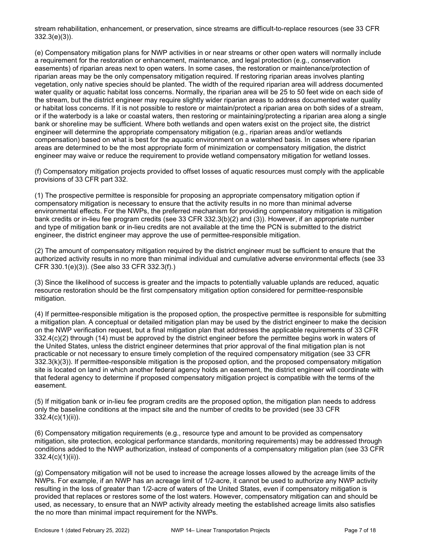stream rehabilitation, enhancement, or preservation, since streams are difficult-to-replace resources (see 33 CFR 332.3(e)(3)).

(e) Compensatory mitigation plans for NWP activities in or near streams or other open waters will normally include a requirement for the restoration or enhancement, maintenance, and legal protection (e.g., conservation easements) of riparian areas next to open waters. In some cases, the restoration or maintenance/protection of riparian areas may be the only compensatory mitigation required. If restoring riparian areas involves planting vegetation, only native species should be planted. The width of the required riparian area will address documented water quality or aquatic habitat loss concerns. Normally, the riparian area will be 25 to 50 feet wide on each side of the stream, but the district engineer may require slightly wider riparian areas to address documented water quality or habitat loss concerns. If it is not possible to restore or maintain/protect a riparian area on both sides of a stream, or if the waterbody is a lake or coastal waters, then restoring or maintaining/protecting a riparian area along a single bank or shoreline may be sufficient. Where both wetlands and open waters exist on the project site, the district engineer will determine the appropriate compensatory mitigation (e.g., riparian areas and/or wetlands compensation) based on what is best for the aquatic environment on a watershed basis. In cases where riparian areas are determined to be the most appropriate form of minimization or compensatory mitigation, the district engineer may waive or reduce the requirement to provide wetland compensatory mitigation for wetland losses.

(f) Compensatory mitigation projects provided to offset losses of aquatic resources must comply with the applicable provisions of 33 CFR part 332.

(1) The prospective permittee is responsible for proposing an appropriate compensatory mitigation option if compensatory mitigation is necessary to ensure that the activity results in no more than minimal adverse environmental effects. For the NWPs, the preferred mechanism for providing compensatory mitigation is mitigation bank credits or in-lieu fee program credits (see 33 CFR 332.3(b)(2) and (3)). However, if an appropriate number and type of mitigation bank or in-lieu credits are not available at the time the PCN is submitted to the district engineer, the district engineer may approve the use of permittee-responsible mitigation.

(2) The amount of compensatory mitigation required by the district engineer must be sufficient to ensure that the authorized activity results in no more than minimal individual and cumulative adverse environmental effects (see 33 CFR 330.1(e)(3)). (See also 33 CFR 332.3(f).)

(3) Since the likelihood of success is greater and the impacts to potentially valuable uplands are reduced, aquatic resource restoration should be the first compensatory mitigation option considered for permittee-responsible mitigation.

(4) If permittee-responsible mitigation is the proposed option, the prospective permittee is responsible for submitting a mitigation plan. A conceptual or detailed mitigation plan may be used by the district engineer to make the decision on the NWP verification request, but a final mitigation plan that addresses the applicable requirements of 33 CFR 332.4(c)(2) through (14) must be approved by the district engineer before the permittee begins work in waters of the United States, unless the district engineer determines that prior approval of the final mitigation plan is not practicable or not necessary to ensure timely completion of the required compensatory mitigation (see 33 CFR 332.3(k)(3)). If permittee-responsible mitigation is the proposed option, and the proposed compensatory mitigation site is located on land in which another federal agency holds an easement, the district engineer will coordinate with that federal agency to determine if proposed compensatory mitigation project is compatible with the terms of the easement.

(5) If mitigation bank or in-lieu fee program credits are the proposed option, the mitigation plan needs to address only the baseline conditions at the impact site and the number of credits to be provided (see 33 CFR 332.4(c)(1)(ii)).

(6) Compensatory mitigation requirements (e.g., resource type and amount to be provided as compensatory mitigation, site protection, ecological performance standards, monitoring requirements) may be addressed through conditions added to the NWP authorization, instead of components of a compensatory mitigation plan (see 33 CFR 332.4(c)(1)(ii)).

(g) Compensatory mitigation will not be used to increase the acreage losses allowed by the acreage limits of the NWPs. For example, if an NWP has an acreage limit of 1/2-acre, it cannot be used to authorize any NWP activity resulting in the loss of greater than 1/2-acre of waters of the United States, even if compensatory mitigation is provided that replaces or restores some of the lost waters. However, compensatory mitigation can and should be used, as necessary, to ensure that an NWP activity already meeting the established acreage limits also satisfies the no more than minimal impact requirement for the NWPs.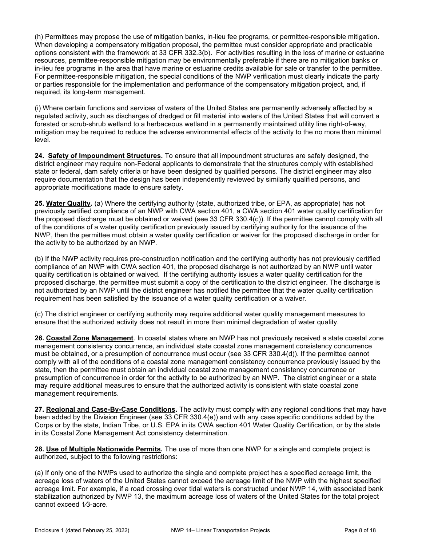(h) Permittees may propose the use of mitigation banks, in-lieu fee programs, or permittee-responsible mitigation. When developing a compensatory mitigation proposal, the permittee must consider appropriate and practicable options consistent with the framework at 33 CFR 332.3(b). For activities resulting in the loss of marine or estuarine resources, permittee-responsible mitigation may be environmentally preferable if there are no mitigation banks or in-lieu fee programs in the area that have marine or estuarine credits available for sale or transfer to the permittee. For permittee-responsible mitigation, the special conditions of the NWP verification must clearly indicate the party or parties responsible for the implementation and performance of the compensatory mitigation project, and, if required, its long-term management.

(i) Where certain functions and services of waters of the United States are permanently adversely affected by a regulated activity, such as discharges of dredged or fill material into waters of the United States that will convert a forested or scrub-shrub wetland to a herbaceous wetland in a permanently maintained utility line right-of-way, mitigation may be required to reduce the adverse environmental effects of the activity to the no more than minimal level.

24. Safety of Impoundment Structures. To ensure that all impoundment structures are safely designed, the district engineer may require non-Federal applicants to demonstrate that the structures comply with established state or federal, dam safety criteria or have been designed by qualified persons. The district engineer may also require documentation that the design has been independently reviewed by similarly qualified persons, and appropriate modifications made to ensure safety.

25. Water Quality. (a) Where the certifying authority (state, authorized tribe, or EPA, as appropriate) has not previously certified compliance of an NWP with CWA section 401, a CWA section 401 water quality certification for the proposed discharge must be obtained or waived (see 33 CFR 330.4(c)). If the permittee cannot comply with all of the conditions of a water quality certification previously issued by certifying authority for the issuance of the NWP, then the permittee must obtain a water quality certification or waiver for the proposed discharge in order for the activity to be authorized by an NWP.

(b) If the NWP activity requires pre-construction notification and the certifying authority has not previously certified compliance of an NWP with CWA section 401, the proposed discharge is not authorized by an NWP until water quality certification is obtained or waived. If the certifying authority issues a water quality certification for the proposed discharge, the permittee must submit a copy of the certification to the district engineer. The discharge is not authorized by an NWP until the district engineer has notified the permittee that the water quality certification requirement has been satisfied by the issuance of a water quality certification or a waiver.

(c) The district engineer or certifying authority may require additional water quality management measures to ensure that the authorized activity does not result in more than minimal degradation of water quality.

26. Coastal Zone Management. In coastal states where an NWP has not previously received a state coastal zone management consistency concurrence, an individual state coastal zone management consistency concurrence must be obtained, or a presumption of concurrence must occur (see 33 CFR 330.4(d)). If the permittee cannot comply with all of the conditions of a coastal zone management consistency concurrence previously issued by the state, then the permittee must obtain an individual coastal zone management consistency concurrence or presumption of concurrence in order for the activity to be authorized by an NWP. The district engineer or a state may require additional measures to ensure that the authorized activity is consistent with state coastal zone management requirements.

27. Regional and Case-By-Case Conditions. The activity must comply with any regional conditions that may have been added by the Division Engineer (see 33 CFR 330.4(e)) and with any case specific conditions added by the Corps or by the state, Indian Tribe, or U.S. EPA in its CWA section 401 Water Quality Certification, or by the state in its Coastal Zone Management Act consistency determination.

28. Use of Multiple Nationwide Permits. The use of more than one NWP for a single and complete project is authorized, subject to the following restrictions:

(a) If only one of the NWPs used to authorize the single and complete project has a specified acreage limit, the acreage loss of waters of the United States cannot exceed the acreage limit of the NWP with the highest specified acreage limit. For example, if a road crossing over tidal waters is constructed under NWP 14, with associated bank stabilization authorized by NWP 13, the maximum acreage loss of waters of the United States for the total project cannot exceed 1/3-acre.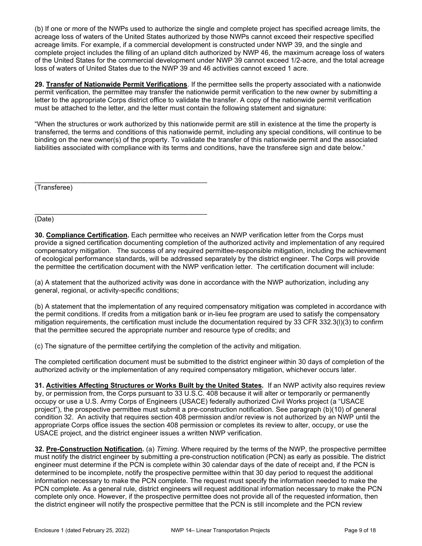(b) If one or more of the NWPs used to authorize the single and complete project has specified acreage limits, the acreage loss of waters of the United States authorized by those NWPs cannot exceed their respective specified acreage limits. For example, if a commercial development is constructed under NWP 39, and the single and complete project includes the filling of an upland ditch authorized by NWP 46, the maximum acreage loss of waters of the United States for the commercial development under NWP 39 cannot exceed 1/2-acre, and the total acreage loss of waters of United States due to the NWP 39 and 46 activities cannot exceed 1 acre.

29. Transfer of Nationwide Permit Verifications. If the permittee sells the property associated with a nationwide permit verification, the permittee may transfer the nationwide permit verification to the new owner by submitting a letter to the appropriate Corps district office to validate the transfer. A copy of the nationwide permit verification must be attached to the letter, and the letter must contain the following statement and signature:

"When the structures or work authorized by this nationwide permit are still in existence at the time the property is transferred, the terms and conditions of this nationwide permit, including any special conditions, will continue to be binding on the new owner(s) of the property. To validate the transfer of this nationwide permit and the associated liabilities associated with compliance with its terms and conditions, have the transferee sign and date below."

(Transferee)

\_\_\_\_\_\_\_\_\_\_\_\_\_\_\_\_\_\_\_\_\_\_\_\_\_\_\_\_\_\_\_\_\_\_\_\_\_\_\_\_\_\_\_\_\_

(Date)

30. Compliance Certification. Each permittee who receives an NWP verification letter from the Corps must provide a signed certification documenting completion of the authorized activity and implementation of any required compensatory mitigation. The success of any required permittee-responsible mitigation, including the achievement of ecological performance standards, will be addressed separately by the district engineer. The Corps will provide the permittee the certification document with the NWP verification letter. The certification document will include:

(a) A statement that the authorized activity was done in accordance with the NWP authorization, including any general, regional, or activity-specific conditions;

(b) A statement that the implementation of any required compensatory mitigation was completed in accordance with the permit conditions. If credits from a mitigation bank or in-lieu fee program are used to satisfy the compensatory mitigation requirements, the certification must include the documentation required by 33 CFR 332.3(l)(3) to confirm that the permittee secured the appropriate number and resource type of credits; and

(c) The signature of the permittee certifying the completion of the activity and mitigation.

The completed certification document must be submitted to the district engineer within 30 days of completion of the authorized activity or the implementation of any required compensatory mitigation, whichever occurs later.

31. Activities Affecting Structures or Works Built by the United States. If an NWP activity also requires review by, or permission from, the Corps pursuant to 33 U.S.C. 408 because it will alter or temporarily or permanently occupy or use a U.S. Army Corps of Engineers (USACE) federally authorized Civil Works project (a "USACE project"), the prospective permittee must submit a pre-construction notification. See paragraph (b)(10) of general condition 32. An activity that requires section 408 permission and/or review is not authorized by an NWP until the appropriate Corps office issues the section 408 permission or completes its review to alter, occupy, or use the USACE project, and the district engineer issues a written NWP verification.

32. Pre-Construction Notification. (a) Timing. Where required by the terms of the NWP, the prospective permittee must notify the district engineer by submitting a pre-construction notification (PCN) as early as possible. The district engineer must determine if the PCN is complete within 30 calendar days of the date of receipt and, if the PCN is determined to be incomplete, notify the prospective permittee within that 30 day period to request the additional information necessary to make the PCN complete. The request must specify the information needed to make the PCN complete. As a general rule, district engineers will request additional information necessary to make the PCN complete only once. However, if the prospective permittee does not provide all of the requested information, then the district engineer will notify the prospective permittee that the PCN is still incomplete and the PCN review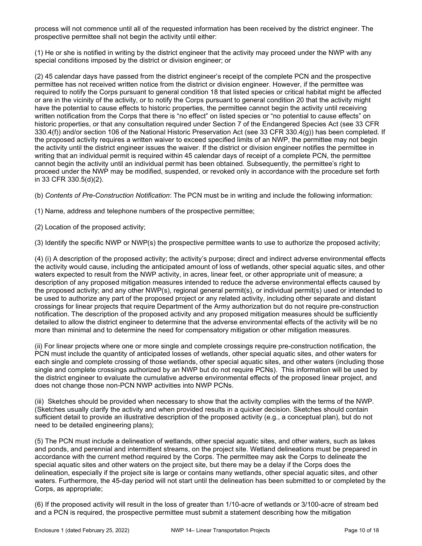process will not commence until all of the requested information has been received by the district engineer. The prospective permittee shall not begin the activity until either:

(1) He or she is notified in writing by the district engineer that the activity may proceed under the NWP with any special conditions imposed by the district or division engineer; or

(2) 45 calendar days have passed from the district engineer's receipt of the complete PCN and the prospective permittee has not received written notice from the district or division engineer. However, if the permittee was required to notify the Corps pursuant to general condition 18 that listed species or critical habitat might be affected or are in the vicinity of the activity, or to notify the Corps pursuant to general condition 20 that the activity might have the potential to cause effects to historic properties, the permittee cannot begin the activity until receiving written notification from the Corps that there is "no effect" on listed species or "no potential to cause effects" on historic properties, or that any consultation required under Section 7 of the Endangered Species Act (see 33 CFR 330.4(f)) and/or section 106 of the National Historic Preservation Act (see 33 CFR 330.4(g)) has been completed. If the proposed activity requires a written waiver to exceed specified limits of an NWP, the permittee may not begin the activity until the district engineer issues the waiver. If the district or division engineer notifies the permittee in writing that an individual permit is required within 45 calendar days of receipt of a complete PCN, the permittee cannot begin the activity until an individual permit has been obtained. Subsequently, the permittee's right to proceed under the NWP may be modified, suspended, or revoked only in accordance with the procedure set forth in 33 CFR 330.5(d)(2).

(b) Contents of Pre-Construction Notification: The PCN must be in writing and include the following information:

(1) Name, address and telephone numbers of the prospective permittee;

(2) Location of the proposed activity;

(3) Identify the specific NWP or NWP(s) the prospective permittee wants to use to authorize the proposed activity;

(4) (i) A description of the proposed activity; the activity's purpose; direct and indirect adverse environmental effects the activity would cause, including the anticipated amount of loss of wetlands, other special aquatic sites, and other waters expected to result from the NWP activity, in acres, linear feet, or other appropriate unit of measure; a description of any proposed mitigation measures intended to reduce the adverse environmental effects caused by the proposed activity; and any other NWP(s), regional general permit(s), or individual permit(s) used or intended to be used to authorize any part of the proposed project or any related activity, including other separate and distant crossings for linear projects that require Department of the Army authorization but do not require pre-construction notification. The description of the proposed activity and any proposed mitigation measures should be sufficiently detailed to allow the district engineer to determine that the adverse environmental effects of the activity will be no more than minimal and to determine the need for compensatory mitigation or other mitigation measures.

(ii) For linear projects where one or more single and complete crossings require pre-construction notification, the PCN must include the quantity of anticipated losses of wetlands, other special aquatic sites, and other waters for each single and complete crossing of those wetlands, other special aquatic sites, and other waters (including those single and complete crossings authorized by an NWP but do not require PCNs). This information will be used by the district engineer to evaluate the cumulative adverse environmental effects of the proposed linear project, and does not change those non-PCN NWP activities into NWP PCNs.

(iii) Sketches should be provided when necessary to show that the activity complies with the terms of the NWP. (Sketches usually clarify the activity and when provided results in a quicker decision. Sketches should contain sufficient detail to provide an illustrative description of the proposed activity (e.g., a conceptual plan), but do not need to be detailed engineering plans);

(5) The PCN must include a delineation of wetlands, other special aquatic sites, and other waters, such as lakes and ponds, and perennial and intermittent streams, on the project site. Wetland delineations must be prepared in accordance with the current method required by the Corps. The permittee may ask the Corps to delineate the special aquatic sites and other waters on the project site, but there may be a delay if the Corps does the delineation, especially if the project site is large or contains many wetlands, other special aquatic sites, and other waters. Furthermore, the 45-day period will not start until the delineation has been submitted to or completed by the Corps, as appropriate;

(6) If the proposed activity will result in the loss of greater than 1/10-acre of wetlands or 3/100-acre of stream bed and a PCN is required, the prospective permittee must submit a statement describing how the mitigation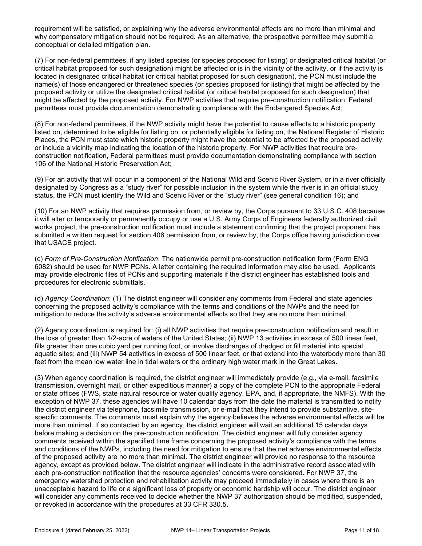requirement will be satisfied, or explaining why the adverse environmental effects are no more than minimal and why compensatory mitigation should not be required. As an alternative, the prospective permittee may submit a conceptual or detailed mitigation plan.

(7) For non-federal permittees, if any listed species (or species proposed for listing) or designated critical habitat (or critical habitat proposed for such designation) might be affected or is in the vicinity of the activity, or if the activity is located in designated critical habitat (or critical habitat proposed for such designation), the PCN must include the name(s) of those endangered or threatened species (or species proposed for listing) that might be affected by the proposed activity or utilize the designated critical habitat (or critical habitat proposed for such designation) that might be affected by the proposed activity. For NWP activities that require pre-construction notification, Federal permittees must provide documentation demonstrating compliance with the Endangered Species Act;

(8) For non-federal permittees, if the NWP activity might have the potential to cause effects to a historic property listed on, determined to be eligible for listing on, or potentially eligible for listing on, the National Register of Historic Places, the PCN must state which historic property might have the potential to be affected by the proposed activity or include a vicinity map indicating the location of the historic property. For NWP activities that require preconstruction notification, Federal permittees must provide documentation demonstrating compliance with section 106 of the National Historic Preservation Act;

(9) For an activity that will occur in a component of the National Wild and Scenic River System, or in a river officially designated by Congress as a "study river" for possible inclusion in the system while the river is in an official study status, the PCN must identify the Wild and Scenic River or the "study river" (see general condition 16); and

(10) For an NWP activity that requires permission from, or review by, the Corps pursuant to 33 U.S.C. 408 because it will alter or temporarily or permanently occupy or use a U.S. Army Corps of Engineers federally authorized civil works project, the pre-construction notification must include a statement confirming that the project proponent has submitted a written request for section 408 permission from, or review by, the Corps office having jurisdiction over that USACE project.

(c) Form of Pre-Construction Notification: The nationwide permit pre-construction notification form (Form ENG 6082) should be used for NWP PCNs. A letter containing the required information may also be used. Applicants may provide electronic files of PCNs and supporting materials if the district engineer has established tools and procedures for electronic submittals.

(d) Agency Coordination: (1) The district engineer will consider any comments from Federal and state agencies concerning the proposed activity's compliance with the terms and conditions of the NWPs and the need for mitigation to reduce the activity's adverse environmental effects so that they are no more than minimal.

(2) Agency coordination is required for: (i) all NWP activities that require pre-construction notification and result in the loss of greater than 1/2-acre of waters of the United States; (ii) NWP 13 activities in excess of 500 linear feet, fills greater than one cubic yard per running foot, or involve discharges of dredged or fill material into special aquatic sites; and (iii) NWP 54 activities in excess of 500 linear feet, or that extend into the waterbody more than 30 feet from the mean low water line in tidal waters or the ordinary high water mark in the Great Lakes.

(3) When agency coordination is required, the district engineer will immediately provide (e.g., via e-mail, facsimile transmission, overnight mail, or other expeditious manner) a copy of the complete PCN to the appropriate Federal or state offices (FWS, state natural resource or water quality agency, EPA, and, if appropriate, the NMFS). With the exception of NWP 37, these agencies will have 10 calendar days from the date the material is transmitted to notify the district engineer via telephone, facsimile transmission, or e-mail that they intend to provide substantive, sitespecific comments. The comments must explain why the agency believes the adverse environmental effects will be more than minimal. If so contacted by an agency, the district engineer will wait an additional 15 calendar days before making a decision on the pre-construction notification. The district engineer will fully consider agency comments received within the specified time frame concerning the proposed activity's compliance with the terms and conditions of the NWPs, including the need for mitigation to ensure that the net adverse environmental effects of the proposed activity are no more than minimal. The district engineer will provide no response to the resource agency, except as provided below. The district engineer will indicate in the administrative record associated with each pre-construction notification that the resource agencies' concerns were considered. For NWP 37, the emergency watershed protection and rehabilitation activity may proceed immediately in cases where there is an unacceptable hazard to life or a significant loss of property or economic hardship will occur. The district engineer will consider any comments received to decide whether the NWP 37 authorization should be modified, suspended, or revoked in accordance with the procedures at 33 CFR 330.5.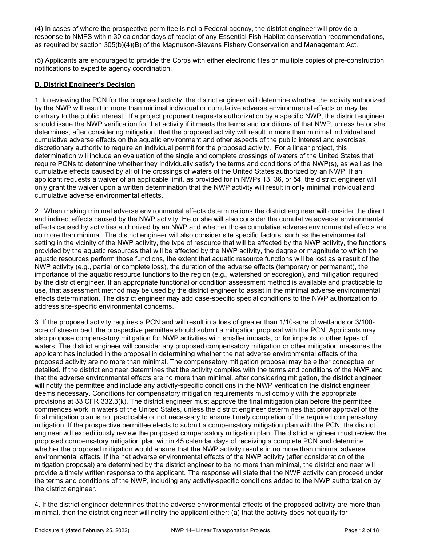(4) In cases of where the prospective permittee is not a Federal agency, the district engineer will provide a response to NMFS within 30 calendar days of receipt of any Essential Fish Habitat conservation recommendations, as required by section 305(b)(4)(B) of the Magnuson-Stevens Fishery Conservation and Management Act.

(5) Applicants are encouraged to provide the Corps with either electronic files or multiple copies of pre-construction notifications to expedite agency coordination.

## D. District Engineer's Decision

1. In reviewing the PCN for the proposed activity, the district engineer will determine whether the activity authorized by the NWP will result in more than minimal individual or cumulative adverse environmental effects or may be contrary to the public interest. If a project proponent requests authorization by a specific NWP, the district engineer should issue the NWP verification for that activity if it meets the terms and conditions of that NWP, unless he or she determines, after considering mitigation, that the proposed activity will result in more than minimal individual and cumulative adverse effects on the aquatic environment and other aspects of the public interest and exercises discretionary authority to require an individual permit for the proposed activity. For a linear project, this determination will include an evaluation of the single and complete crossings of waters of the United States that require PCNs to determine whether they individually satisfy the terms and conditions of the NWP(s), as well as the cumulative effects caused by all of the crossings of waters of the United States authorized by an NWP. If an applicant requests a waiver of an applicable limit, as provided for in NWPs 13, 36, or 54, the district engineer will only grant the waiver upon a written determination that the NWP activity will result in only minimal individual and cumulative adverse environmental effects.

2. When making minimal adverse environmental effects determinations the district engineer will consider the direct and indirect effects caused by the NWP activity. He or she will also consider the cumulative adverse environmental effects caused by activities authorized by an NWP and whether those cumulative adverse environmental effects are no more than minimal. The district engineer will also consider site specific factors, such as the environmental setting in the vicinity of the NWP activity, the type of resource that will be affected by the NWP activity, the functions provided by the aquatic resources that will be affected by the NWP activity, the degree or magnitude to which the aquatic resources perform those functions, the extent that aquatic resource functions will be lost as a result of the NWP activity (e.g., partial or complete loss), the duration of the adverse effects (temporary or permanent), the importance of the aquatic resource functions to the region (e.g., watershed or ecoregion), and mitigation required by the district engineer. If an appropriate functional or condition assessment method is available and practicable to use, that assessment method may be used by the district engineer to assist in the minimal adverse environmental effects determination. The district engineer may add case-specific special conditions to the NWP authorization to address site-specific environmental concerns.

3. If the proposed activity requires a PCN and will result in a loss of greater than 1/10-acre of wetlands or 3/100 acre of stream bed, the prospective permittee should submit a mitigation proposal with the PCN. Applicants may also propose compensatory mitigation for NWP activities with smaller impacts, or for impacts to other types of waters. The district engineer will consider any proposed compensatory mitigation or other mitigation measures the applicant has included in the proposal in determining whether the net adverse environmental effects of the proposed activity are no more than minimal. The compensatory mitigation proposal may be either conceptual or detailed. If the district engineer determines that the activity complies with the terms and conditions of the NWP and that the adverse environmental effects are no more than minimal, after considering mitigation, the district engineer will notify the permittee and include any activity-specific conditions in the NWP verification the district engineer deems necessary. Conditions for compensatory mitigation requirements must comply with the appropriate provisions at 33 CFR 332.3(k). The district engineer must approve the final mitigation plan before the permittee commences work in waters of the United States, unless the district engineer determines that prior approval of the final mitigation plan is not practicable or not necessary to ensure timely completion of the required compensatory mitigation. If the prospective permittee elects to submit a compensatory mitigation plan with the PCN, the district engineer will expeditiously review the proposed compensatory mitigation plan. The district engineer must review the proposed compensatory mitigation plan within 45 calendar days of receiving a complete PCN and determine whether the proposed mitigation would ensure that the NWP activity results in no more than minimal adverse environmental effects. If the net adverse environmental effects of the NWP activity (after consideration of the mitigation proposal) are determined by the district engineer to be no more than minimal, the district engineer will provide a timely written response to the applicant. The response will state that the NWP activity can proceed under the terms and conditions of the NWP, including any activity-specific conditions added to the NWP authorization by the district engineer.

4. If the district engineer determines that the adverse environmental effects of the proposed activity are more than minimal, then the district engineer will notify the applicant either: (a) that the activity does not qualify for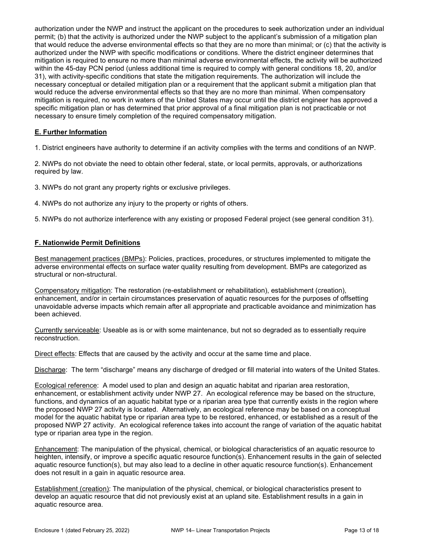authorization under the NWP and instruct the applicant on the procedures to seek authorization under an individual permit; (b) that the activity is authorized under the NWP subject to the applicant's submission of a mitigation plan that would reduce the adverse environmental effects so that they are no more than minimal; or (c) that the activity is authorized under the NWP with specific modifications or conditions. Where the district engineer determines that mitigation is required to ensure no more than minimal adverse environmental effects, the activity will be authorized within the 45-day PCN period (unless additional time is required to comply with general conditions 18, 20, and/or 31), with activity-specific conditions that state the mitigation requirements. The authorization will include the necessary conceptual or detailed mitigation plan or a requirement that the applicant submit a mitigation plan that would reduce the adverse environmental effects so that they are no more than minimal. When compensatory mitigation is required, no work in waters of the United States may occur until the district engineer has approved a specific mitigation plan or has determined that prior approval of a final mitigation plan is not practicable or not necessary to ensure timely completion of the required compensatory mitigation.

## E. Further Information

1. District engineers have authority to determine if an activity complies with the terms and conditions of an NWP.

2. NWPs do not obviate the need to obtain other federal, state, or local permits, approvals, or authorizations required by law.

3. NWPs do not grant any property rights or exclusive privileges.

4. NWPs do not authorize any injury to the property or rights of others.

5. NWPs do not authorize interference with any existing or proposed Federal project (see general condition 31).

### F. Nationwide Permit Definitions

Best management practices (BMPs): Policies, practices, procedures, or structures implemented to mitigate the adverse environmental effects on surface water quality resulting from development. BMPs are categorized as structural or non-structural.

Compensatory mitigation: The restoration (re-establishment or rehabilitation), establishment (creation), enhancement, and/or in certain circumstances preservation of aquatic resources for the purposes of offsetting unavoidable adverse impacts which remain after all appropriate and practicable avoidance and minimization has been achieved.

Currently serviceable: Useable as is or with some maintenance, but not so degraded as to essentially require reconstruction.

Direct effects: Effects that are caused by the activity and occur at the same time and place.

Discharge: The term "discharge" means any discharge of dredged or fill material into waters of the United States.

Ecological reference: A model used to plan and design an aquatic habitat and riparian area restoration, enhancement, or establishment activity under NWP 27. An ecological reference may be based on the structure, functions, and dynamics of an aquatic habitat type or a riparian area type that currently exists in the region where the proposed NWP 27 activity is located. Alternatively, an ecological reference may be based on a conceptual model for the aquatic habitat type or riparian area type to be restored, enhanced, or established as a result of the proposed NWP 27 activity. An ecological reference takes into account the range of variation of the aquatic habitat type or riparian area type in the region.

Enhancement: The manipulation of the physical, chemical, or biological characteristics of an aquatic resource to heighten, intensify, or improve a specific aquatic resource function(s). Enhancement results in the gain of selected aquatic resource function(s), but may also lead to a decline in other aquatic resource function(s). Enhancement does not result in a gain in aquatic resource area.

Establishment (creation): The manipulation of the physical, chemical, or biological characteristics present to develop an aquatic resource that did not previously exist at an upland site. Establishment results in a gain in aquatic resource area.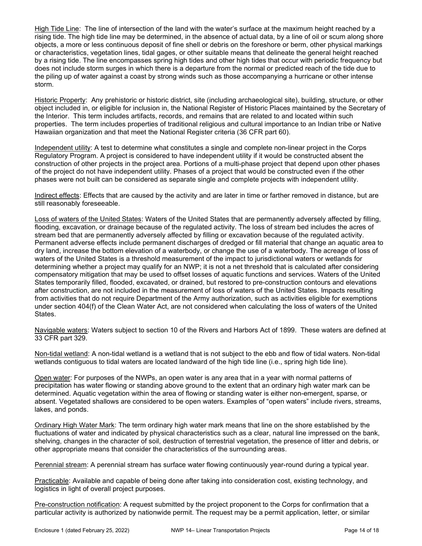High Tide Line: The line of intersection of the land with the water's surface at the maximum height reached by a rising tide. The high tide line may be determined, in the absence of actual data, by a line of oil or scum along shore objects, a more or less continuous deposit of fine shell or debris on the foreshore or berm, other physical markings or characteristics, vegetation lines, tidal gages, or other suitable means that delineate the general height reached by a rising tide. The line encompasses spring high tides and other high tides that occur with periodic frequency but does not include storm surges in which there is a departure from the normal or predicted reach of the tide due to the piling up of water against a coast by strong winds such as those accompanying a hurricane or other intense storm.

Historic Property: Any prehistoric or historic district, site (including archaeological site), building, structure, or other object included in, or eligible for inclusion in, the National Register of Historic Places maintained by the Secretary of the Interior. This term includes artifacts, records, and remains that are related to and located within such properties. The term includes properties of traditional religious and cultural importance to an Indian tribe or Native Hawaiian organization and that meet the National Register criteria (36 CFR part 60).

Independent utility: A test to determine what constitutes a single and complete non-linear project in the Corps Regulatory Program. A project is considered to have independent utility if it would be constructed absent the construction of other projects in the project area. Portions of a multi-phase project that depend upon other phases of the project do not have independent utility. Phases of a project that would be constructed even if the other phases were not built can be considered as separate single and complete projects with independent utility.

Indirect effects: Effects that are caused by the activity and are later in time or farther removed in distance, but are still reasonably foreseeable.

Loss of waters of the United States: Waters of the United States that are permanently adversely affected by filling, flooding, excavation, or drainage because of the regulated activity. The loss of stream bed includes the acres of stream bed that are permanently adversely affected by filling or excavation because of the regulated activity. Permanent adverse effects include permanent discharges of dredged or fill material that change an aquatic area to dry land, increase the bottom elevation of a waterbody, or change the use of a waterbody. The acreage of loss of waters of the United States is a threshold measurement of the impact to jurisdictional waters or wetlands for determining whether a project may qualify for an NWP; it is not a net threshold that is calculated after considering compensatory mitigation that may be used to offset losses of aquatic functions and services. Waters of the United States temporarily filled, flooded, excavated, or drained, but restored to pre-construction contours and elevations after construction, are not included in the measurement of loss of waters of the United States. Impacts resulting from activities that do not require Department of the Army authorization, such as activities eligible for exemptions under section 404(f) of the Clean Water Act, are not considered when calculating the loss of waters of the United States.

Navigable waters: Waters subject to section 10 of the Rivers and Harbors Act of 1899. These waters are defined at 33 CFR part 329.

Non-tidal wetland: A non-tidal wetland is a wetland that is not subject to the ebb and flow of tidal waters. Non-tidal wetlands contiguous to tidal waters are located landward of the high tide line (i.e., spring high tide line).

Open water: For purposes of the NWPs, an open water is any area that in a year with normal patterns of precipitation has water flowing or standing above ground to the extent that an ordinary high water mark can be determined. Aquatic vegetation within the area of flowing or standing water is either non-emergent, sparse, or absent. Vegetated shallows are considered to be open waters. Examples of "open waters" include rivers, streams, lakes, and ponds.

Ordinary High Water Mark: The term ordinary high water mark means that line on the shore established by the fluctuations of water and indicated by physical characteristics such as a clear, natural line impressed on the bank, shelving, changes in the character of soil, destruction of terrestrial vegetation, the presence of litter and debris, or other appropriate means that consider the characteristics of the surrounding areas.

Perennial stream: A perennial stream has surface water flowing continuously year-round during a typical year.

Practicable: Available and capable of being done after taking into consideration cost, existing technology, and logistics in light of overall project purposes.

Pre-construction notification: A request submitted by the project proponent to the Corps for confirmation that a particular activity is authorized by nationwide permit. The request may be a permit application, letter, or similar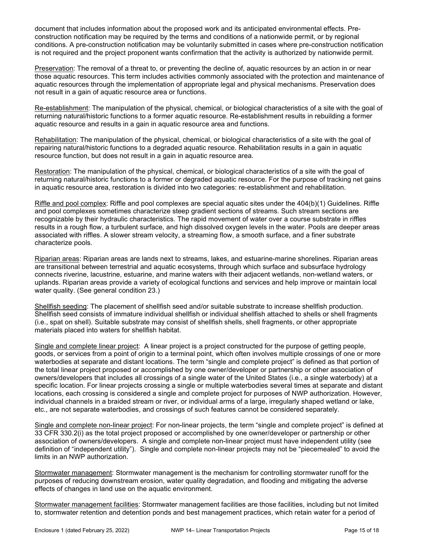document that includes information about the proposed work and its anticipated environmental effects. Preconstruction notification may be required by the terms and conditions of a nationwide permit, or by regional conditions. A pre-construction notification may be voluntarily submitted in cases where pre-construction notification is not required and the project proponent wants confirmation that the activity is authorized by nationwide permit.

Preservation: The removal of a threat to, or preventing the decline of, aquatic resources by an action in or near those aquatic resources. This term includes activities commonly associated with the protection and maintenance of aquatic resources through the implementation of appropriate legal and physical mechanisms. Preservation does not result in a gain of aquatic resource area or functions.

Re-establishment: The manipulation of the physical, chemical, or biological characteristics of a site with the goal of returning natural/historic functions to a former aquatic resource. Re-establishment results in rebuilding a former aquatic resource and results in a gain in aquatic resource area and functions.

Rehabilitation: The manipulation of the physical, chemical, or biological characteristics of a site with the goal of repairing natural/historic functions to a degraded aquatic resource. Rehabilitation results in a gain in aquatic resource function, but does not result in a gain in aquatic resource area.

Restoration: The manipulation of the physical, chemical, or biological characteristics of a site with the goal of returning natural/historic functions to a former or degraded aquatic resource. For the purpose of tracking net gains in aquatic resource area, restoration is divided into two categories: re-establishment and rehabilitation.

Riffle and pool complex: Riffle and pool complexes are special aquatic sites under the 404(b)(1) Guidelines. Riffle and pool complexes sometimes characterize steep gradient sections of streams. Such stream sections are recognizable by their hydraulic characteristics. The rapid movement of water over a course substrate in riffles results in a rough flow, a turbulent surface, and high dissolved oxygen levels in the water. Pools are deeper areas associated with riffles. A slower stream velocity, a streaming flow, a smooth surface, and a finer substrate characterize pools.

Riparian areas: Riparian areas are lands next to streams, lakes, and estuarine-marine shorelines. Riparian areas are transitional between terrestrial and aquatic ecosystems, through which surface and subsurface hydrology connects riverine, lacustrine, estuarine, and marine waters with their adjacent wetlands, non-wetland waters, or uplands. Riparian areas provide a variety of ecological functions and services and help improve or maintain local water quality. (See general condition 23.)

Shellfish seeding: The placement of shellfish seed and/or suitable substrate to increase shellfish production. Shellfish seed consists of immature individual shellfish or individual shellfish attached to shells or shell fragments (i.e., spat on shell). Suitable substrate may consist of shellfish shells, shell fragments, or other appropriate materials placed into waters for shellfish habitat.

Single and complete linear project: A linear project is a project constructed for the purpose of getting people, goods, or services from a point of origin to a terminal point, which often involves multiple crossings of one or more waterbodies at separate and distant locations. The term "single and complete project" is defined as that portion of the total linear project proposed or accomplished by one owner/developer or partnership or other association of owners/developers that includes all crossings of a single water of the United States (i.e., a single waterbody) at a specific location. For linear projects crossing a single or multiple waterbodies several times at separate and distant locations, each crossing is considered a single and complete project for purposes of NWP authorization. However, individual channels in a braided stream or river, or individual arms of a large, irregularly shaped wetland or lake, etc., are not separate waterbodies, and crossings of such features cannot be considered separately.

Single and complete non-linear project: For non-linear projects, the term "single and complete project" is defined at 33 CFR 330.2(i) as the total project proposed or accomplished by one owner/developer or partnership or other association of owners/developers. A single and complete non-linear project must have independent utility (see definition of "independent utility"). Single and complete non-linear projects may not be "piecemealed" to avoid the limits in an NWP authorization.

Stormwater management: Stormwater management is the mechanism for controlling stormwater runoff for the purposes of reducing downstream erosion, water quality degradation, and flooding and mitigating the adverse effects of changes in land use on the aquatic environment.

Stormwater management facilities: Stormwater management facilities are those facilities, including but not limited to, stormwater retention and detention ponds and best management practices, which retain water for a period of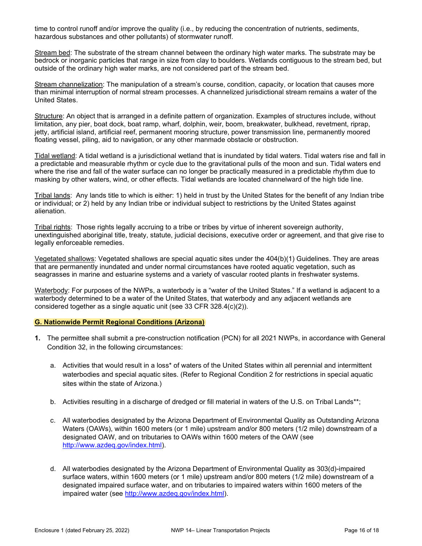time to control runoff and/or improve the quality (i.e., by reducing the concentration of nutrients, sediments, hazardous substances and other pollutants) of stormwater runoff.

Stream bed: The substrate of the stream channel between the ordinary high water marks. The substrate may be bedrock or inorganic particles that range in size from clay to boulders. Wetlands contiguous to the stream bed, but outside of the ordinary high water marks, are not considered part of the stream bed.

Stream channelization: The manipulation of a stream's course, condition, capacity, or location that causes more than minimal interruption of normal stream processes. A channelized jurisdictional stream remains a water of the United States.

Structure: An object that is arranged in a definite pattern of organization. Examples of structures include, without limitation, any pier, boat dock, boat ramp, wharf, dolphin, weir, boom, breakwater, bulkhead, revetment, riprap, jetty, artificial island, artificial reef, permanent mooring structure, power transmission line, permanently moored floating vessel, piling, aid to navigation, or any other manmade obstacle or obstruction.

Tidal wetland: A tidal wetland is a jurisdictional wetland that is inundated by tidal waters. Tidal waters rise and fall in a predictable and measurable rhythm or cycle due to the gravitational pulls of the moon and sun. Tidal waters end where the rise and fall of the water surface can no longer be practically measured in a predictable rhythm due to masking by other waters, wind, or other effects. Tidal wetlands are located channelward of the high tide line.

Tribal lands: Any lands title to which is either: 1) held in trust by the United States for the benefit of any Indian tribe or individual; or 2) held by any Indian tribe or individual subject to restrictions by the United States against alienation.

Tribal rights: Those rights legally accruing to a tribe or tribes by virtue of inherent sovereign authority, unextinguished aboriginal title, treaty, statute, judicial decisions, executive order or agreement, and that give rise to legally enforceable remedies.

Vegetated shallows: Vegetated shallows are special aquatic sites under the 404(b)(1) Guidelines. They are areas that are permanently inundated and under normal circumstances have rooted aquatic vegetation, such as seagrasses in marine and estuarine systems and a variety of vascular rooted plants in freshwater systems.

Waterbody: For purposes of the NWPs, a waterbody is a "water of the United States." If a wetland is adjacent to a waterbody determined to be a water of the United States, that waterbody and any adjacent wetlands are considered together as a single aquatic unit (see 33 CFR 328.4(c)(2)).

### G. Nationwide Permit Regional Conditions (Arizona)

- 1. The permittee shall submit a pre-construction notification (PCN) for all 2021 NWPs, in accordance with General Condition 32, in the following circumstances:
	- a. Activities that would result in a loss\* of waters of the United States within all perennial and intermittent waterbodies and special aquatic sites. (Refer to Regional Condition 2 for restrictions in special aquatic sites within the state of Arizona.)
	- b. Activities resulting in a discharge of dredged or fill material in waters of the U.S. on Tribal Lands\*\*;
	- c. All waterbodies designated by the Arizona Department of Environmental Quality as Outstanding Arizona Waters (OAWs), within 1600 meters (or 1 mile) upstream and/or 800 meters (1/2 mile) downstream of a designated OAW, and on tributaries to OAWs within 1600 meters of the OAW (see http://www.azdeq.gov/index.html).
	- d. All waterbodies designated by the Arizona Department of Environmental Quality as 303(d)-impaired surface waters, within 1600 meters (or 1 mile) upstream and/or 800 meters (1/2 mile) downstream of a designated impaired surface water, and on tributaries to impaired waters within 1600 meters of the impaired water (see http://www.azdeq.gov/index.html).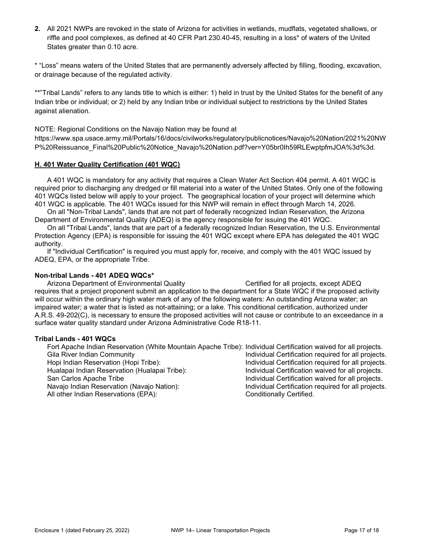2. All 2021 NWPs are revoked in the state of Arizona for activities in wetlands, mudflats, vegetated shallows, or riffle and pool complexes, as defined at 40 CFR Part 230.40-45, resulting in a loss\* of waters of the United States greater than 0.10 acre.

\* "Loss" means waters of the United States that are permanently adversely affected by filling, flooding, excavation, or drainage because of the regulated activity.

\*\*"Tribal Lands" refers to any lands title to which is either: 1) held in trust by the United States for the benefit of any Indian tribe or individual; or 2) held by any Indian tribe or individual subject to restrictions by the United States against alienation.

NOTE: Regional Conditions on the Navajo Nation may be found at

https://www.spa.usace.army.mil/Portals/16/docs/civilworks/regulatory/publicnotices/Navajo%20Nation/2021%20NW P%20Reissuance\_Final%20Public%20Notice\_Navajo%20Nation.pdf?ver=Y05br0Ih59RLEwptpfmJOA%3d%3d.

### H. 401 Water Quality Certification (401 WQC)

 A 401 WQC is mandatory for any activity that requires a Clean Water Act Section 404 permit. A 401 WQC is required prior to discharging any dredged or fill material into a water of the United States. Only one of the following 401 WQCs listed below will apply to your project. The geographical location of your project will determine which 401 WQC is applicable. The 401 WQCs issued for this NWP will remain in effect through March 14, 2026.

 On all "Non-Tribal Lands", lands that are not part of federally recognized Indian Reservation, the Arizona Department of Environmental Quality (ADEQ) is the agency responsible for issuing the 401 WQC.

 On all "Tribal Lands", lands that are part of a federally recognized Indian Reservation, the U.S. Environmental Protection Agency (EPA) is responsible for issuing the 401 WQC except where EPA has delegated the 401 WQC authority.

 If "Individual Certification" is required you must apply for, receive, and comply with the 401 WQC issued by ADEQ, EPA, or the appropriate Tribe.

#### Non-tribal Lands - 401 ADEQ WQCs\*

Arizona Department of Environmental Quality Certified for all projects, except ADEQ requires that a project proponent submit an application to the department for a State WQC if the proposed activity will occur within the ordinary high water mark of any of the following waters: An outstanding Arizona water; an impaired water; a water that is listed as not-attaining; or a lake. This conditional certification, authorized under A.R.S. 49-202(C), is necessary to ensure the proposed activities will not cause or contribute to an exceedance in a surface water quality standard under Arizona Administrative Code R18-11.

#### Tribal Lands - 401 WQCs

 Fort Apache Indian Reservation (White Mountain Apache Tribe): Individual Certification waived for all projects. Gila River Indian Community **Individual Certification required for all projects.** Hopi Indian Reservation (Hopi Tribe): Individual Certification required for all projects. Hualapai Indian Reservation (Hualapai Tribe): Individual Certification waived for all projects. San Carlos Apache Tribe Individual Certification waived for all projects.<br>Individual Certification required for all projects Individual Certification required for all projects Individual Certification required for all projects. All other Indian Reservations (EPA): Conditionally Certified.